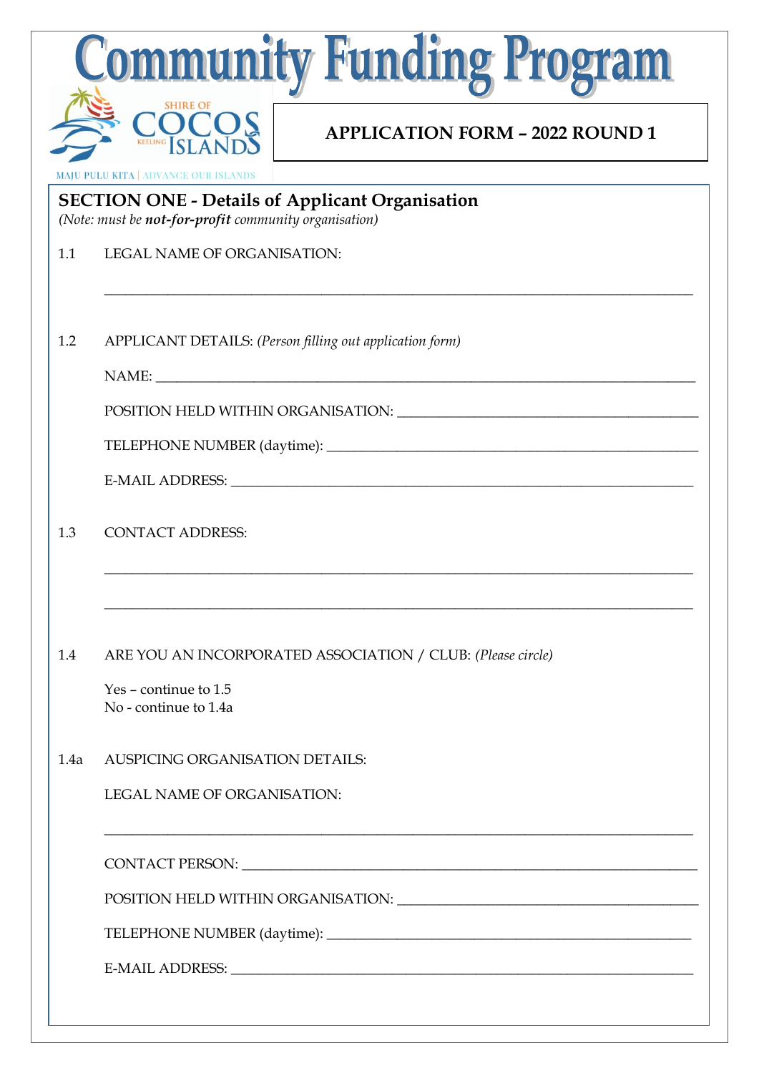|      | <b>Community Funding Program</b>                                                                                |
|------|-----------------------------------------------------------------------------------------------------------------|
|      | <b>APPLICATION FORM - 2022 ROUND 1</b>                                                                          |
|      | <b>MAJU PULU KITA   ADVANCE OUR ISLANDS</b>                                                                     |
|      | <b>SECTION ONE - Details of Applicant Organisation</b><br>(Note: must be not-for-profit community organisation) |
| 1.1  | <b>LEGAL NAME OF ORGANISATION:</b>                                                                              |
| 1.2  | APPLICANT DETAILS: (Person filling out application form)                                                        |
|      |                                                                                                                 |
|      |                                                                                                                 |
|      |                                                                                                                 |
|      |                                                                                                                 |
| 1.3  | <b>CONTACT ADDRESS:</b>                                                                                         |
| 1.4  | ARE YOU AN INCORPORATED ASSOCIATION / CLUB: (Please circle)<br>$Yes$ – continue to 1.5<br>No - continue to 1.4a |
| 1.4a | AUSPICING ORGANISATION DETAILS:                                                                                 |
|      | <b>LEGAL NAME OF ORGANISATION:</b>                                                                              |
|      |                                                                                                                 |
|      |                                                                                                                 |
|      |                                                                                                                 |
|      |                                                                                                                 |
|      |                                                                                                                 |

 $\mathcal{L}_\text{max}$  and  $\mathcal{L}_\text{max}$  and  $\mathcal{L}_\text{max}$  and  $\mathcal{L}_\text{max}$  and  $\mathcal{L}_\text{max}$  and  $\mathcal{L}_\text{max}$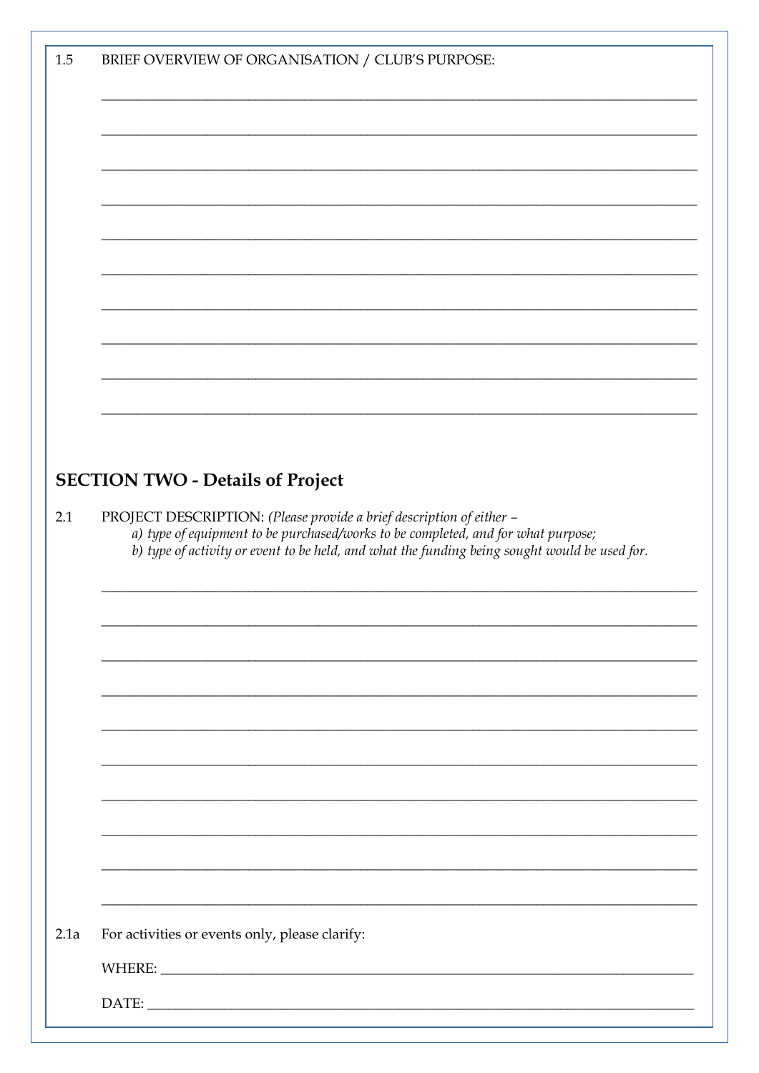| $1.5\,$<br>BRIEF OVERVIEW OF ORGANISATION / CLUB'S PURPOSE:                                                                                                                                                                                                       |  |
|-------------------------------------------------------------------------------------------------------------------------------------------------------------------------------------------------------------------------------------------------------------------|--|
|                                                                                                                                                                                                                                                                   |  |
|                                                                                                                                                                                                                                                                   |  |
|                                                                                                                                                                                                                                                                   |  |
|                                                                                                                                                                                                                                                                   |  |
|                                                                                                                                                                                                                                                                   |  |
|                                                                                                                                                                                                                                                                   |  |
|                                                                                                                                                                                                                                                                   |  |
|                                                                                                                                                                                                                                                                   |  |
|                                                                                                                                                                                                                                                                   |  |
|                                                                                                                                                                                                                                                                   |  |
|                                                                                                                                                                                                                                                                   |  |
|                                                                                                                                                                                                                                                                   |  |
|                                                                                                                                                                                                                                                                   |  |
|                                                                                                                                                                                                                                                                   |  |
|                                                                                                                                                                                                                                                                   |  |
| <b>SECTION TWO - Details of Project</b>                                                                                                                                                                                                                           |  |
|                                                                                                                                                                                                                                                                   |  |
| PROJECT DESCRIPTION: (Please provide a brief description of either -<br>2.1<br>a) type of equipment to be purchased/works to be completed, and for what purpose;<br>b) type of activity or event to be held, and what the funding being sought would be used for. |  |
|                                                                                                                                                                                                                                                                   |  |
|                                                                                                                                                                                                                                                                   |  |
|                                                                                                                                                                                                                                                                   |  |
|                                                                                                                                                                                                                                                                   |  |
|                                                                                                                                                                                                                                                                   |  |
|                                                                                                                                                                                                                                                                   |  |
|                                                                                                                                                                                                                                                                   |  |
|                                                                                                                                                                                                                                                                   |  |
|                                                                                                                                                                                                                                                                   |  |
|                                                                                                                                                                                                                                                                   |  |
|                                                                                                                                                                                                                                                                   |  |
|                                                                                                                                                                                                                                                                   |  |
|                                                                                                                                                                                                                                                                   |  |
| 2.1a<br>For activities or events only, please clarify:                                                                                                                                                                                                            |  |
|                                                                                                                                                                                                                                                                   |  |
|                                                                                                                                                                                                                                                                   |  |
|                                                                                                                                                                                                                                                                   |  |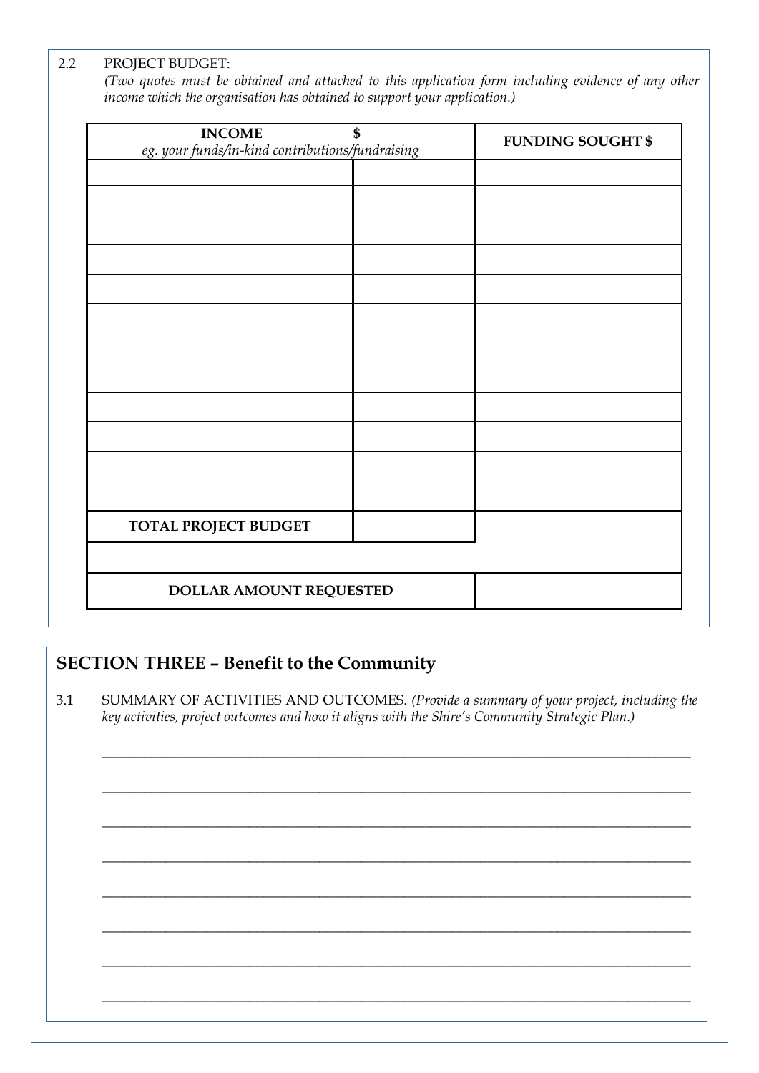2.2 PROJECT BUDGET:

*(Two quotes must be obtained and attached to this application form including evidence of any other income which the organisation has obtained to support your application.)*

| <b>INCOME</b><br>eg. your funds/in-kind contributions/fundraising | \$<br><b>FUNDING SOUGHT \$</b> |
|-------------------------------------------------------------------|--------------------------------|
|                                                                   |                                |
|                                                                   |                                |
|                                                                   |                                |
|                                                                   |                                |
|                                                                   |                                |
|                                                                   |                                |
|                                                                   |                                |
|                                                                   |                                |
|                                                                   |                                |
|                                                                   |                                |
|                                                                   |                                |
|                                                                   |                                |
| TOTAL PROJECT BUDGET                                              |                                |
|                                                                   |                                |
| DOLLAR AMOUNT REQUESTED                                           |                                |

## **SECTION THREE – Benefit to the Community**

3.1 SUMMARY OF ACTIVITIES AND OUTCOMES*. (Provide a summary of your project, including the key activities, project outcomes and how it aligns with the Shire's Community Strategic Plan.)*

\_\_\_\_\_\_\_\_\_\_\_\_\_\_\_\_\_\_\_\_\_\_\_\_\_\_\_\_\_\_\_\_\_\_\_\_\_\_\_\_\_\_\_\_\_\_\_\_\_\_\_\_\_\_\_\_\_\_\_\_\_\_\_\_\_\_\_\_\_\_\_\_\_\_\_\_\_\_\_\_\_\_\_\_

\_\_\_\_\_\_\_\_\_\_\_\_\_\_\_\_\_\_\_\_\_\_\_\_\_\_\_\_\_\_\_\_\_\_\_\_\_\_\_\_\_\_\_\_\_\_\_\_\_\_\_\_\_\_\_\_\_\_\_\_\_\_\_\_\_\_\_\_\_\_\_\_\_\_\_\_\_\_\_\_\_\_\_\_

\_\_\_\_\_\_\_\_\_\_\_\_\_\_\_\_\_\_\_\_\_\_\_\_\_\_\_\_\_\_\_\_\_\_\_\_\_\_\_\_\_\_\_\_\_\_\_\_\_\_\_\_\_\_\_\_\_\_\_\_\_\_\_\_\_\_\_\_\_\_\_\_\_\_\_\_\_\_\_\_\_\_\_\_

\_\_\_\_\_\_\_\_\_\_\_\_\_\_\_\_\_\_\_\_\_\_\_\_\_\_\_\_\_\_\_\_\_\_\_\_\_\_\_\_\_\_\_\_\_\_\_\_\_\_\_\_\_\_\_\_\_\_\_\_\_\_\_\_\_\_\_\_\_\_\_\_\_\_\_\_\_\_\_\_\_\_\_\_

\_\_\_\_\_\_\_\_\_\_\_\_\_\_\_\_\_\_\_\_\_\_\_\_\_\_\_\_\_\_\_\_\_\_\_\_\_\_\_\_\_\_\_\_\_\_\_\_\_\_\_\_\_\_\_\_\_\_\_\_\_\_\_\_\_\_\_\_\_\_\_\_\_\_\_\_\_\_\_\_\_\_\_\_

\_\_\_\_\_\_\_\_\_\_\_\_\_\_\_\_\_\_\_\_\_\_\_\_\_\_\_\_\_\_\_\_\_\_\_\_\_\_\_\_\_\_\_\_\_\_\_\_\_\_\_\_\_\_\_\_\_\_\_\_\_\_\_\_\_\_\_\_\_\_\_\_\_\_\_\_\_\_\_\_\_\_\_\_

\_\_\_\_\_\_\_\_\_\_\_\_\_\_\_\_\_\_\_\_\_\_\_\_\_\_\_\_\_\_\_\_\_\_\_\_\_\_\_\_\_\_\_\_\_\_\_\_\_\_\_\_\_\_\_\_\_\_\_\_\_\_\_\_\_\_\_\_\_\_\_\_\_\_\_\_\_\_\_\_\_\_\_\_

\_\_\_\_\_\_\_\_\_\_\_\_\_\_\_\_\_\_\_\_\_\_\_\_\_\_\_\_\_\_\_\_\_\_\_\_\_\_\_\_\_\_\_\_\_\_\_\_\_\_\_\_\_\_\_\_\_\_\_\_\_\_\_\_\_\_\_\_\_\_\_\_\_\_\_\_\_\_\_\_\_\_\_\_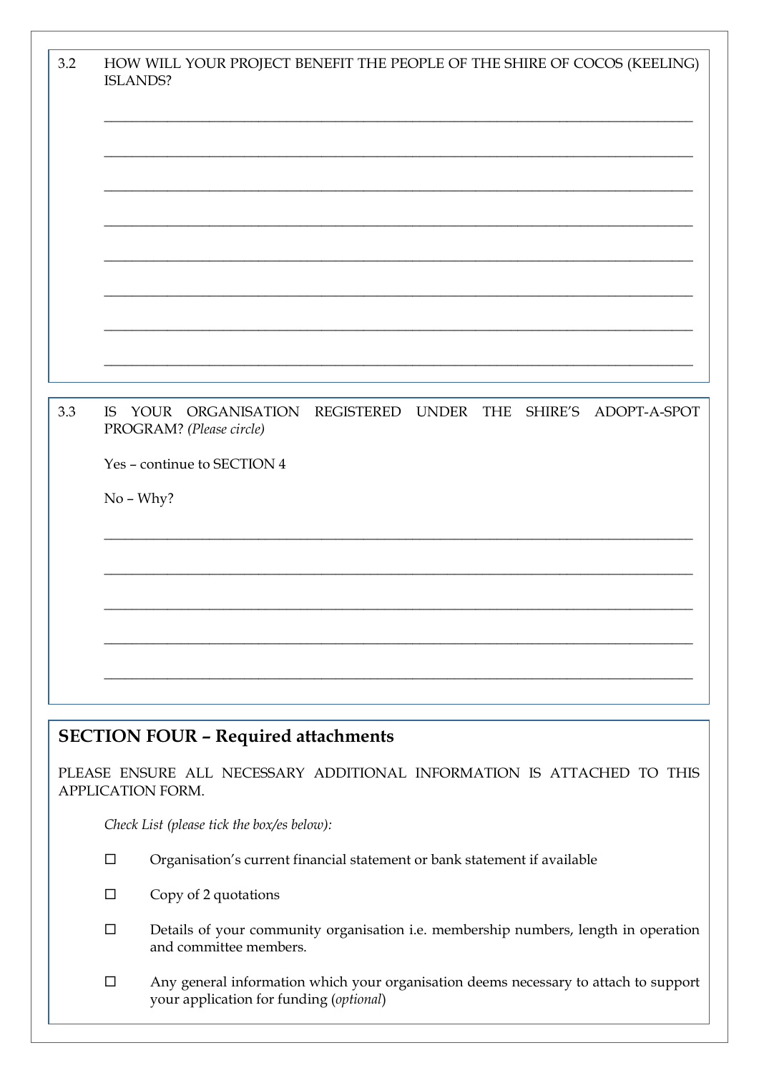| 3.2 | HOW WILL YOUR PROJECT BENEFIT THE PEOPLE OF THE SHIRE OF COCOS (KEELING)<br>ISLANDS?                                                        |
|-----|---------------------------------------------------------------------------------------------------------------------------------------------|
|     |                                                                                                                                             |
| 3.3 | YOUR ORGANISATION REGISTERED UNDER THE SHIRE'S ADOPT-A-SPOT<br>IS<br>PROGRAM? (Please circle)<br>Yes - continue to SECTION 4<br>$No - Why?$ |

## **SECTION FOUR – Required attachments**

PLEASE ENSURE ALL NECESSARY ADDITIONAL INFORMATION IS ATTACHED TO THIS APPLICATION FORM.

*Check List (please tick the box/es below):*

- Organisation's current financial statement or bank statement if available
- $\square$  Copy of 2 quotations
- $\square$  Details of your community organisation i.e. membership numbers, length in operation and committee members.
- Any general information which your organisation deems necessary to attach to support your application for funding (*optional*)